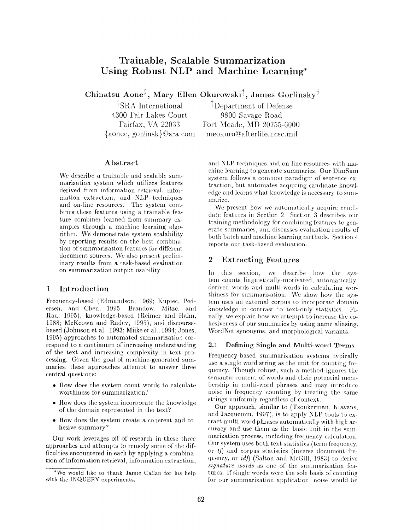# **Trainable, Scalable Summarization Using Robust NLP and Machine Learning\***

Chinatsu Aone<sup>†</sup>, Mary Ellen Okurowski<sup>‡</sup>, James Gorlinsky<sup>†</sup>

4300 Fair Lakes Court 9800 Savage Road {aonec, gorlinsk}@sra.com meokuro~\_ afterlife.ncsc.mil

+ tSRA International +l)epartment of Defense Fairfax, VA 22033 Fort Meade, MD 20755-6000

## **Abstract**

We describe a trainable and scalable summarization system which utilizes features derived from information retrieval, information extraction, and NLP techniques and on-line resources. The system combines these features using a trainable feature combiner learned from summary examples through a machine learning algorithm. We demonstrate system scalability by reporting results on the best combination of summarization features for different document sources. We also present preliminary results from a task-based evaluation on summarization output usability.

# **1 Introduction**

Frequency-based (Edmundson, 1969; Kupiec, Pedersen, and Chen, 1995; Brandow, Mitze. and Rau, 1995), knowledge-based (Reimer and Hahn, 1988; McKeown and Radev, 1995), and discoursebased (Johnson et al., 1993; Miike et al., 1994; Jones, 1995) approaches to automated summarization correspond to a continuum of increasing understanding of the text and increasing complexity in text processing. Given the goal of machine-generated summaries, these approaches attempt to answer three central questions:

- How does the system count words to calculate worthiness for summarization?
- How does the system incorporate the knowledge of the domain represented in the text?
- How does the system create a coherent and cohesive summary?

Our work leverages off of research in these three approaches and attempts to remedy some of the difficulties encountered in each by applying a combination of information retrieval, information extraction, and NLP techniques and on-line resources with nmchine learning to generate summaries. Our DimSum system follows a common paradigm of sentence extraction, but automates acquiring candidate knowledge and learns what knowledge is necessary to suminarize.

We present how we automatically acquire candidate features in Section 2. Section 3 describes our training methodology for combining features to generate summaries, and discusses evaluation results of both batch and machine learning methods. Section 4 reports our task-based evalnation.

# **2 Extracting Features**

In this section, we describe how the system counts linguistically-motivated, automaticallyderived words and nmlti-words in calculating worthiness for summarization. We show how the system uses an external corpus to incorporate domain knowledge in contrast to text-only statistics. Finally, we explain how we attempt to increase the co hesiveness of our summaries by using name aliasing, WordNet synonyms, and morphological variants.

## 2.1 Defining Single and Multi-word Terms

Frequency-based summarization systems typically use a single word string as the unit for counting frequency. Though robust, such a method ignores the semantic content of words and their potential membership in multi-word phrases and may introduce noise in frequency counting by treating the same strings uniformly regardless of context.

Our approach, similar to (Tzoukerman, Klavans, and Jacquemin, 1997), is to apply NLP tools to extract multi-word phrases automatically with high accuracy and use them as the basic unit in the summarization process, including frequency calculation. Our system uses both text statistics (term frequency, or  $tf$ ) and corpus statistics (inverse document frequency, or *idf*) (Salton and McGill, 1983) to derive signature words as one of the summarization features. If single words were the sole basis of counting for our summarization application, noise would be

<sup>\*</sup>We would like to thank Jamie Callan for his help with the INQUERY experiments.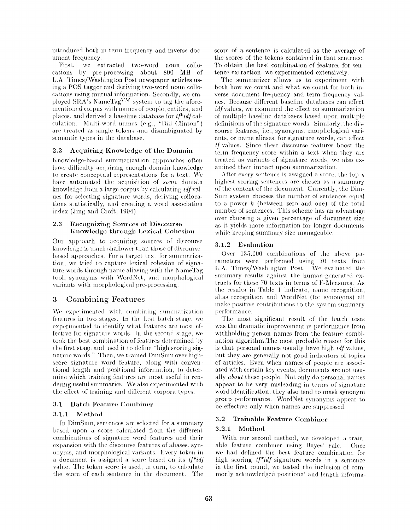introduced both in term frequency and inverse document frequency.

First, we extracted two-word noun collocations by pre-processing about 800 MB of **L.A.** Times/Washington Post newspaper articles using a POS tagger and deriving two-word noun collocations using mutual information. Secondly, we employed SRA's NameTag<sup>TM</sup> system to tag the aforementioned corpus with names of people, entities, and places, and derived a baseline database for *iJ\*idfcal*culation. Multi-word names (e.g., "Bill Clinton") are treated as single tokens and disambiguated by semantic types in the database.

#### 2.2 Acquiring Knowledge of the Domain

Knowledge-based summarization approaches often have difficulty acquiring enough domain knowledge to create conceptual representations for a text. We have automated the acquisition of *some* domain knowledge from a large corpus by calculating *idfval*ues for selecting signature words, deriving collocations statistically, and creating a word association index (Jing and Croft,  $1994$ ).

## 2.3 Recognizing Sources of Discourse Knowledge. through Lexical Cohesion

Our approach to acquiring sources of discourse knowledge is much shallower than those of discoursebased approaches. For a target text for summarization, we tried to capture, lexical cohesion of signature words through name aliasing with the NameTag tool, synonyms with WordNet, and morphological variants with morphological pre-processing.

# **3** Combining Features

\Ve experimented with combining summarization features in two stages. In the first batch stage, we experimented to identify what features are most effective for signature words. In the second stage, we took the best combination of features determined by the first stage and used it to detine "high scoring signature words." Then, we trained DimSum over highscore signature word feature, along with conventional leugth and positional information, to determine which training features are most useful in rendering useful summaries. We also experimented with the effect of training and different corpora types.

#### 3.1 Batch Feature Combiner

#### **3.1.1** Method

In DimSum, sentences are selected for a summary based upon a score calculated from the different combinations of signature word features and their expansion with the discourse features of aliases, synonyms, and morphological variants. Every token in a document is assigned a score based on its *tf\*idf*  value. The token score is used, in turn, to calculate the score of each sentence in the document. The score of a sentence is calculated as the average of the scores of the tokens contained in that sentence. To obtain the best combination of features for sentence extraction, we experimented extensively.

The sunnnarizer allows us to experiment with both how we count and what we count for both inverse document frequency and term frequency values. Because different baseline databases can affect *idfvalues,* we examined the effect on summarization of multiple baseline databases based upon multiple definitions of the signature words. Similarly, the discourse features, i.e., synonyms, morphological variants, or name aliases, for signature words, can affect tf values. Since these discourse features boost the term frequency score within a text when they are treated as variants of signature words, we also examined their impact upon summarization.

After every sentence is assigned a score, the top  $n$ highest scoring sentences are chosen as a summary of the content of the document. Currently, the Din> Sum system chooses the number of sentences equal to a power  $k$  (between zero and one) of the total number of sentences. This scheme has an advantage over choosing a given percentage of document size as it yields more information for longer documents while keeping summary size manageable.

#### **3.1.2** Evaluation

Over 135,000 combinations of the above parameters were performed using 70 texts from L.A. Times/Washington Post. We evaluated the summary results against the human-generated  $ex$ tracts for these 70 texts in terms of F-Measures. As the results in Table 1 indicate, name recognition, alias recognition and WordNet (for synonyms) all make positive contributions to the system summary performance.

The most significant result of the batch tests was the dramatic improvement in performance from withholding person names from the feature combination algorithm.The most probable reason for this is that personal nanms usually have high *idf* values, but they are generally not good indicators of topics of articles. Even when names of people are associated with certain key events, documents are not usually *about* these people. Not only do personal names appear to be very misleading in terms of signature word identification, they also tend to mask synonym group performance. WordNet synonyms appear to be effective only when names are suppressed.

## **3.2** Trainable Feature Combiner

#### 3.2.1 Method

With our second method, we developed a trainable feature combiner using Bayes' rule. Once we had defined the best feature combination for high scoring *tf\*idf* signature words in a sentence in the first round, we tested the inclusion of commonly acknowledged positional and length informa-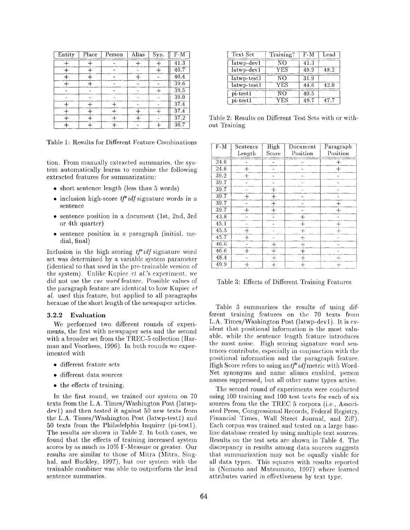| Entity | $\overline{\text{Place}}$ | Person | <b>Alias</b> | Syn. | $\overline{\Gamma\text{-M}}$ |
|--------|---------------------------|--------|--------------|------|------------------------------|
|        |                           |        |              |      | $\overline{41.3}$            |
|        |                           |        |              |      | 40.7                         |
|        |                           |        |              |      | 40.4                         |
|        |                           |        |              |      | $\overline{39.6}$            |
|        | ۰.                        |        |              |      | 39.5                         |
|        |                           |        |              |      | 39.0                         |
|        |                           |        |              |      | 37.4                         |
|        |                           |        |              |      | 37.4                         |
|        |                           |        |              |      | 37.2                         |
|        |                           |        |              |      | $\overline{36.7}$            |

Table 1: Results for Different Feature Combinations

tion. From manually extracted summaries, the system automatically learns to combine the following extracted features for summarization:

- short sentence length (less than 5 words)
- inclusion high-score *tf\*idf* signature words in a sentence
- sentence position in a document (lst, 2nd, 3rd or 4th quarter)
- sentence position in a paragraph (initial, medial, final)

Inclusion in the high scoring *tf\*idf* signature word set was determined by a variable system parameter (identical to that used in the pre-trainable version of the system). Unlike Kupiec *et al.'s* experiment, we did not use the *cue word* feature. Possible values of the paragraph feature are identical to how Kupiec *et al.* used this feature, but applied to all paragraphs because of the short length of the newspaper articles,

#### 3.2.2 **Evaluation**

We performed two different rounds of experiments, the first with newspaper sets and the second with a broader set from the TREC-5 collection (Harman and Voorhees, 1996). In both rounds we experimented with

- different feature sets
- different data sources
- the effects of training.

In the first round, we trained our system on 70 texts from the L.A. Times/Washington Post (latwpdevl) and then tested it against 50 new texts from the L.A. Times/Washington Post (latwp-testl) and 50 texts from the Philadelphia Inquirer (pi-testl). The results are shown in Table 2. In both cases, we found that the effects of training increased system scores by as much as 10% F-Measure or greater. Our results are similar to those of Mitra (Mitra, Singhal, and Buckley, 1997), but our system with the trainable combiner was able to outperform the lead sentence summaries.

| Text Set          | Training? | $F-M$ | $_{\rm{lead}}$ |
|-------------------|-----------|-------|----------------|
| latwp-dev1        | NΟ        | 41.3  |                |
| latwp-dev1        | YES       | 49.9  | 48.2           |
| latwp-test1       | NΟ        | 31.9  |                |
| $l$ atwp-test $l$ | YES.      | 44.6  | 42.0           |
| $pi-test1$        | NΟ        | 40.5  |                |
| pi-test1          | Y ES      | 49.7  | 47.7           |

Table 2: Results on Different Test Sets with or without Training

| $F-M$ | Sentence | High         | Document  | Paragraph    |
|-------|----------|--------------|-----------|--------------|
|       | Length   | Score        | Position  | Position     |
| 24.6  |          |              |           | ┿            |
| 24.6  | $+$      |              |           | $\div$       |
| 39.2  | $\div$   |              |           |              |
| 39.7  |          |              |           |              |
| 39.7  |          | ┿            |           |              |
| 39.7  | $+$      | $+$          |           |              |
| 39.7  |          | $^{+}$       |           | $^{+}$       |
| 39.7  | $\div$   | $+$          |           | ┿            |
| 43.8  |          |              | $^{+}$    |              |
| 45.1  |          |              |           | $\pm$        |
| 45.5  | $^{+}$   |              | $+$       | $\mathrm{+}$ |
| 45.7  |          |              | $\div$    |              |
| 46.6  |          | $\mathrm{+}$ | $^{+}$    |              |
| 46.6  | $^{+}$   | $^{+}$       | $\ddot{}$ |              |
| 48.4  |          | $^{+}$       | $^{+}$    |              |
| 49.9  |          | $^{+}$       |           | $^+$         |

Table 3: Effects of Different Training Features

Table 3 summarizes the results of using different training features on the 70 texts from L.A. Times/Washington Post (latwp-dev1). It is evident that positional information is the most valuable. while the sentence length feature introduces the most noise. High scoring signature word sentences contribute, especially in conjunction with the positional information and the paragraph feature. High Score refers to using ant<sup>\*</sup>idfmetric with Word-Net synonyms and name aliases enabled, person names suppressed, but all other name types active.

The second round of experiments were conducted using 100 training and 100 test texts for each of six sources from the the TREC 5 corpora (i.e., Associated Press, Congressional Records, Federal Registry, Financial Times, Wall Street Journal, and Ziff). Each corpus was trained and tested on a large baseline database created by using multiple text sources. Results on the test sets are shown in 'Fable 4. The discrepancy in results among data sources suggests that summarization may not be equally viable for all data types. This squares with results reported in (Nomoto and Matsumoto, 1997) where learned attributes varied in effectiveness by text type.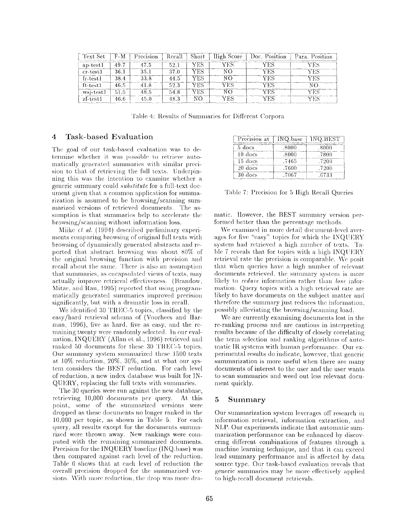| Text Set       | F-M  | Precision | Recall | Short | High Score | Doc. Position | Para. Position |
|----------------|------|-----------|--------|-------|------------|---------------|----------------|
| ap-test1       | 49.7 | 47.5      | 52.1   | YES   | YES.       | YÉS           | YES            |
| cr-test1       | 36.1 | 35.1      | 37.0   | YES   | NО         | YES           | YES            |
| fr-test1       | 38.4 | 33.8      | 44.5   | YES   | NО         | YES.          | ŸES            |
| ft-test1       | 46.5 | 41.8      | 52.3   | YES.  | YES        | YES           | NΟ             |
| wsj-test1      | 51.5 | 48.5      | 54.8   | YES   | NΟ         | YES           | YES            |
| $z$ f-test $1$ | 46.6 | 45.0      | 48.3   | NΟ    | ΥES        | YES           | YES            |

Table 4: Results of Summaries for Different Corpora

# **4 Task-based Evaluation**

The goal of our task-based evaluation was to determine whether it was possible to retrieve automatieally generated summaries with similar precision to that of retrieving the full texts. Underpinning this was the intention to examine whether a generic summary could *substitute* for a full-text document given that a common application for summarization is assumed to be browsing/scanning summarized versions of retrieved documents. The assumption is that summaries help to accelerate the browsing/scanning without information loss.

Miike *et al.* (1994) described preliminary experiments comparing browsing of original full texts with browsing of dynamically generated abstracts and reported that abstract browsing was about 80% of the original browsing function with precision and recall about the same. There is also an assumption that summaries, as encapsulated views of texts, may actually improve retrieval effectiveness. (Brandow, Mitze, and Rau, 1995) reported that using programmatically generated summaries improved precision significantly, but with a dramatic loss in recall.

We identified 30 TREC-5 topics, classified by the easy/hard retrieval schema of (Voorhees and Harman, 1996), five as hard, five as easy, and the remaining twenty were randomly selected. In our evaluation, INQUERY (Allan et al., 1996) retrieved and ranked 50 documents for these 30 TREC-5 topics. Our summary system summarized these 1500 texts at 10% reduction, 20%, 30%, and at what our system considers the BEST reduction. For each level of reduction, a new index database was built, for IN-QUERY, replacing the full texts with summaries.

The 30 queries were run against the new database, retrieving 10,000 documents per query. At this point, some of the summarized versions were dropped as these docmnents no longer ranked in the 10,000 per topic, as shown in Table 5. For each query, all results except for the documents summarized were thrown away. New rankings were computed with the remaining summarized documents. Precision for the INQUERY baseline (INQ base) was then compared against each level of the reduction. Table 6 shows that at each level of reduction the overall precision dropped for the summarized versions. With more reduction, the drop was more dra-

| Precision at | INQ base | INO.BEST |
|--------------|----------|----------|
| $5$ docs     | .8000    | .8000    |
| $10$ docs    | .8000    | .7800    |
| $15$ docs    | .7465    | .7200    |
| $20$ docs    | .7600    | .7200    |
| $30$ docs    | 7067     | .6733    |

Table 7: Precision for 5 High Recall Queries

matic. However, the BEST summary version performed better than the percentage methods.

We examined in more detail document-level averages for five "easy" topics for which the INQUERY system had retrieved a high number of texts. Table  $7$  reveals that for topics with a high INQUERY retrieval rate the precision is comparable. We posit that when queries have a high number of relevant documents retrieved, the summary system is more likely to *reduce* information rather than *lose* information. Query topics with a high retrieval rate are likely to have documents on the subject matter and therefore the summary just reduces the information, possibly alleviating the browsing/scanning load.

We are currently examining documents lost in the re-ranking process and are cautious in interpreting results because of the difficulty of closely correlating the term selection and ranking algorithms of automatic IR systems with human performance. Our experimental results do indicate, however, that generic summarization is more useful when there are many documents of interest to the user and the user wants to scan summaries and weed out less relevant document quickly.

## 5 Summary

Our summarization system leverages off research in information retrieval, information extraction, and NLP. Our experiments indicate that automatic summarization performance can be enhanced by discovering different combinations of features through **a**  machine learning technique, and that it can exceed lead summary performance and is affected by data source type. Our task-based evaluation reveals that generic summaries may be more effectively applied to high-recall document retrievals.